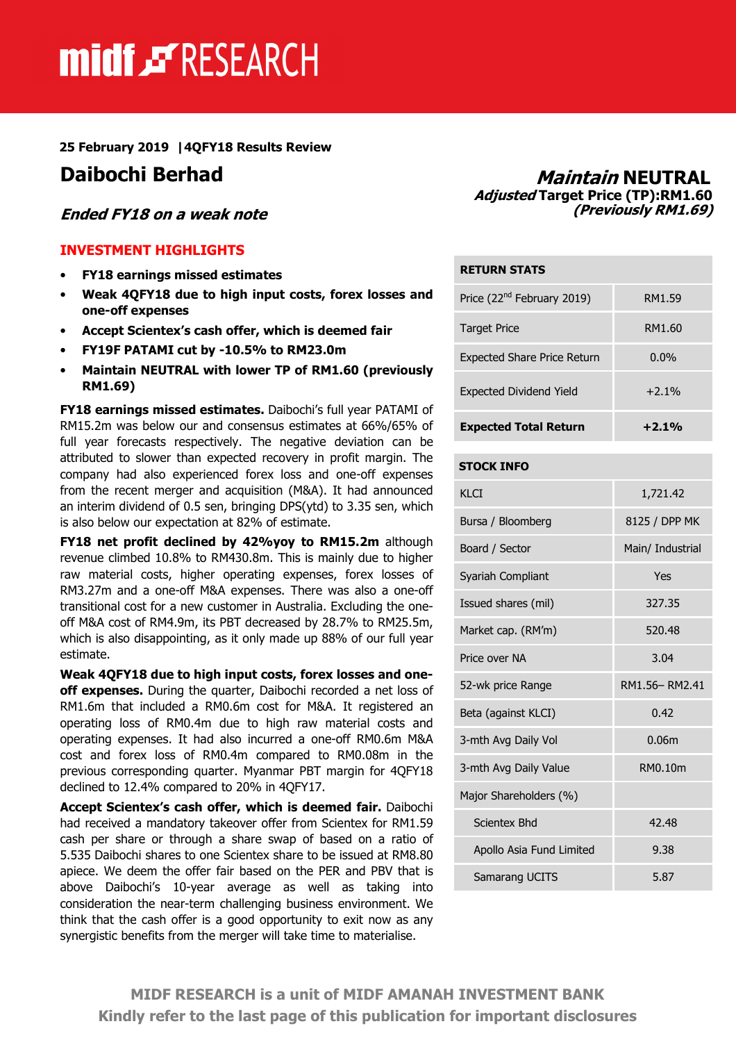# midf & RESEARCH

#### 25 February 2019 |4QFY18 Results Review

#### Ended FY18 on a weak note

#### INVESTMENT HIGHLIGHTS

- FY18 earnings missed estimates
- Weak 4QFY18 due to high input costs, forex losses and one-off expenses
- Accept Scientex's cash offer, which is deemed fair
- FY19F PATAMI cut by -10.5% to RM23.0m
- Maintain NEUTRAL with lower TP of RM1.60 (previously RM1.69)

FY18 earnings missed estimates. Daibochi's full year PATAMI of RM15.2m was below our and consensus estimates at 66%/65% of full year forecasts respectively. The negative deviation can be attributed to slower than expected recovery in profit margin. The company had also experienced forex loss and one-off expenses from the recent merger and acquisition (M&A). It had announced an interim dividend of 0.5 sen, bringing DPS(ytd) to 3.35 sen, which is also below our expectation at 82% of estimate.

FY18 net profit declined by 42%yoy to RM15.2m although revenue climbed 10.8% to RM430.8m. This is mainly due to higher raw material costs, higher operating expenses, forex losses of RM3.27m and a one-off M&A expenses. There was also a one-off transitional cost for a new customer in Australia. Excluding the oneoff M&A cost of RM4.9m, its PBT decreased by 28.7% to RM25.5m, which is also disappointing, as it only made up 88% of our full year estimate.

Weak 4QFY18 due to high input costs, forex losses and oneoff expenses. During the quarter, Daibochi recorded a net loss of RM1.6m that included a RM0.6m cost for M&A. It registered an operating loss of RM0.4m due to high raw material costs and operating expenses. It had also incurred a one-off RM0.6m M&A cost and forex loss of RM0.4m compared to RM0.08m in the previous corresponding quarter. Myanmar PBT margin for 4QFY18 declined to 12.4% compared to 20% in 4QFY17.

Accept Scientex's cash offer, which is deemed fair. Daibochi had received a mandatory takeover offer from Scientex for RM1.59 cash per share or through a share swap of based on a ratio of 5.535 Daibochi shares to one Scientex share to be issued at RM8.80 apiece. We deem the offer fair based on the PER and PBV that is above Daibochi's 10-year average as well as taking into consideration the near-term challenging business environment. We think that the cash offer is a good opportunity to exit now as any synergistic benefits from the merger will take time to materialise.

### Daibochi Berhad Maintain NEUTRAL Adjusted Target Price (TP):RM1.60 (Previously RM1.69)

| <b>RETURN STATS</b>                    |         |  |  |  |
|----------------------------------------|---------|--|--|--|
| Price (22 <sup>nd</sup> February 2019) | RM1.59  |  |  |  |
| <b>Target Price</b>                    | RM1.60  |  |  |  |
| <b>Expected Share Price Return</b>     | $0.0\%$ |  |  |  |
| <b>Expected Dividend Yield</b>         | $+2.1%$ |  |  |  |
| <b>Expected Total Return</b>           | $+2.1%$ |  |  |  |

#### STOCK INFO

| KI CI                    | 1,721.42         |  |  |
|--------------------------|------------------|--|--|
| Bursa / Bloomberg        | 8125 / DPP MK    |  |  |
| Board / Sector           | Main/ Industrial |  |  |
| Syariah Compliant        | Yes              |  |  |
| Issued shares (mil)      | 327.35           |  |  |
| Market cap. (RM'm)       | 520.48           |  |  |
| Price over NA            | 3.04             |  |  |
| 52-wk price Range        | RM1.56-RM2.41    |  |  |
| Beta (against KLCI)      | 0.42             |  |  |
| 3-mth Avg Daily Vol      | 0.06m            |  |  |
| 3-mth Avg Daily Value    | RM0.10m          |  |  |
| Major Shareholders (%)   |                  |  |  |
| Scientex Bhd             | 42.48            |  |  |
| Apollo Asia Fund Limited | 9.38             |  |  |
| Samarang UCITS           | 5.87             |  |  |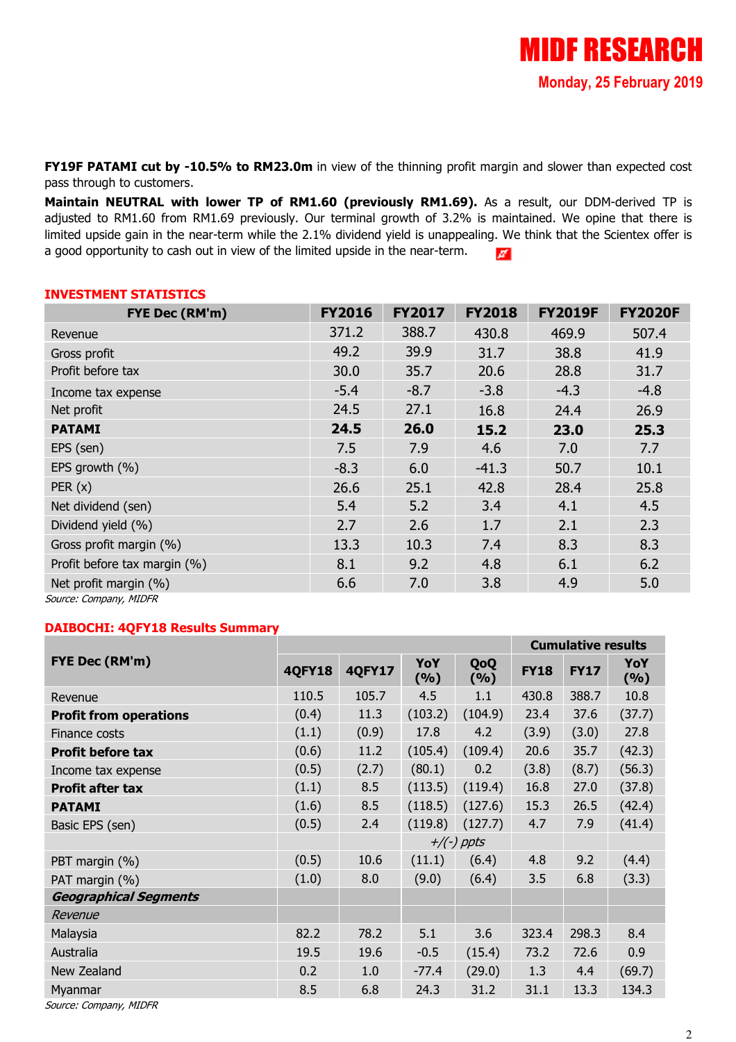FY19F PATAMI cut by -10.5% to RM23.0m in view of the thinning profit margin and slower than expected cost pass through to customers.

Maintain NEUTRAL with lower TP of RM1.60 (previously RM1.69). As a result, our DDM-derived TP is adjusted to RM1.60 from RM1.69 previously. Our terminal growth of 3.2% is maintained. We opine that there is limited upside gain in the near-term while the 2.1% dividend yield is unappealing. We think that the Scientex offer is a good opportunity to cash out in view of the limited upside in the near-term.  $\sigma$ 

#### INVESTMENT STATISTICS

| FYE Dec (RM'm)               | <b>FY2016</b> | <b>FY2017</b> | <b>FY2018</b> | <b>FY2019F</b> | <b>FY2020F</b> |
|------------------------------|---------------|---------------|---------------|----------------|----------------|
| Revenue                      | 371.2         | 388.7         | 430.8         | 469.9          | 507.4          |
| Gross profit                 | 49.2          | 39.9          | 31.7          | 38.8           | 41.9           |
| Profit before tax            | 30.0          | 35.7          | 20.6          | 28.8           | 31.7           |
| Income tax expense           | $-5.4$        | $-8.7$        | $-3.8$        | $-4.3$         | $-4.8$         |
| Net profit                   | 24.5          | 27.1          | 16.8          | 24.4           | 26.9           |
| <b>PATAMI</b>                | 24.5          | 26.0          | 15.2          | 23.0           | 25.3           |
| EPS (sen)                    | 7.5           | 7.9           | 4.6           | 7.0            | 7.7            |
| EPS growth (%)               | $-8.3$        | 6.0           | $-41.3$       | 50.7           | 10.1           |
| PER(x)                       | 26.6          | 25.1          | 42.8          | 28.4           | 25.8           |
| Net dividend (sen)           | 5.4           | 5.2           | 3.4           | 4.1            | 4.5            |
| Dividend yield (%)           | 2.7           | 2.6           | 1.7           | 2.1            | 2.3            |
| Gross profit margin (%)      | 13.3          | 10.3          | 7.4           | 8.3            | 8.3            |
| Profit before tax margin (%) | 8.1           | 9.2           | 4.8           | 6.1            | 6.2            |
| Net profit margin (%)        | 6.6           | 7.0           | 3.8           | 4.9            | 5.0            |

Source: Company, MIDFR

#### DAIBOCHI: 4QFY18 Results Summary

|                               | <b>Cumulative results</b> |               |            |              |             |             |             |
|-------------------------------|---------------------------|---------------|------------|--------------|-------------|-------------|-------------|
| FYE Dec (RM'm)                | <b>4QFY18</b>             | <b>4QFY17</b> | YoY<br>(%) | QoQ<br>(9/6) | <b>FY18</b> | <b>FY17</b> | YoY<br>( %) |
| Revenue                       | 110.5                     | 105.7         | 4.5        | 1.1          | 430.8       | 388.7       | 10.8        |
| <b>Profit from operations</b> | (0.4)                     | 11.3          | (103.2)    | (104.9)      | 23.4        | 37.6        | (37.7)      |
| Finance costs                 | (1.1)                     | (0.9)         | 17.8       | 4.2          | (3.9)       | (3.0)       | 27.8        |
| <b>Profit before tax</b>      | (0.6)                     | 11.2          | (105.4)    | (109.4)      | 20.6        | 35.7        | (42.3)      |
| Income tax expense            | (0.5)                     | (2.7)         | (80.1)     | 0.2          | (3.8)       | (8.7)       | (56.3)      |
| <b>Profit after tax</b>       | (1.1)                     | 8.5           | (113.5)    | (119.4)      | 16.8        | 27.0        | (37.8)      |
| <b>PATAMI</b>                 | (1.6)                     | 8.5           | (118.5)    | (127.6)      | 15.3        | 26.5        | (42.4)      |
| Basic EPS (sen)               | (0.5)                     | 2.4           | (119.8)    | (127.7)      | 4.7         | 7.9         | (41.4)      |
|                               |                           |               |            | $+/(-)$ ppts |             |             |             |
| PBT margin (%)                | (0.5)                     | 10.6          | (11.1)     | (6.4)        | 4.8         | 9.2         | (4.4)       |
| PAT margin (%)                | (1.0)                     | 8.0           | (9.0)      | (6.4)        | 3.5         | 6.8         | (3.3)       |
| <b>Geographical Segments</b>  |                           |               |            |              |             |             |             |
| Revenue                       |                           |               |            |              |             |             |             |
| Malaysia                      | 82.2                      | 78.2          | 5.1        | 3.6          | 323.4       | 298.3       | 8.4         |
| Australia                     | 19.5                      | 19.6          | $-0.5$     | (15.4)       | 73.2        | 72.6        | 0.9         |
| New Zealand                   | 0.2                       | 1.0           | $-77.4$    | (29.0)       | 1.3         | 4.4         | (69.7)      |
| Myanmar                       | 8.5                       | 6.8           | 24.3       | 31.2         | 31.1        | 13.3        | 134.3       |
| Source: Company, MIDFR        |                           |               |            |              |             |             |             |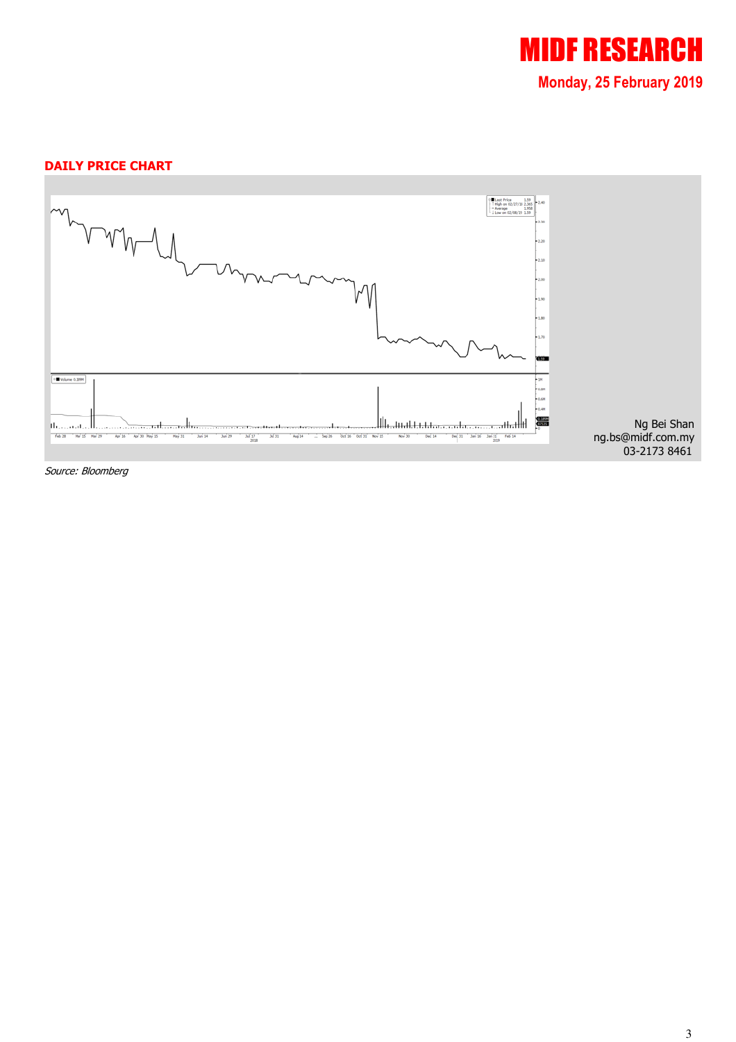

#### DAILY PRICE CHART



Source: Bloomberg